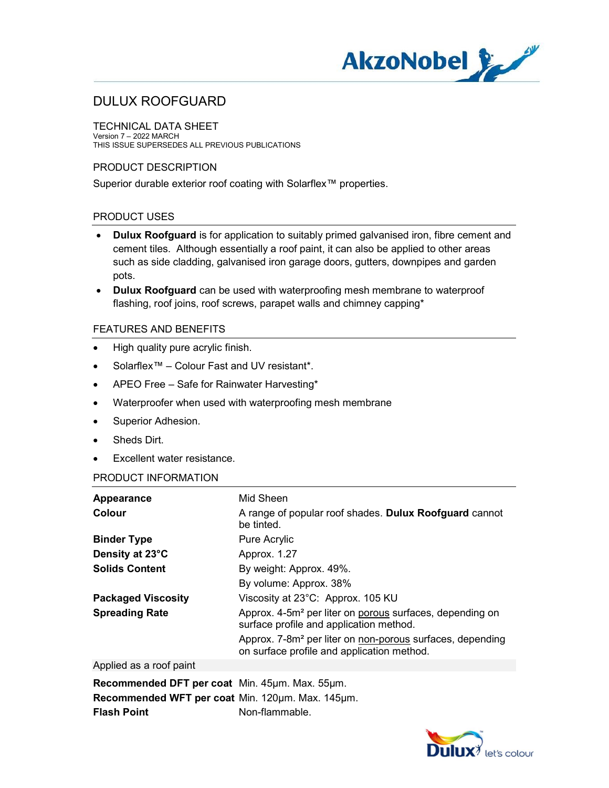

TECHNICAL DATA SHEET Version 7 – 2022 MARCH THIS ISSUE SUPERSEDES ALL PREVIOUS PUBLICATIONS

### PRODUCT DESCRIPTION

Superior durable exterior roof coating with Solarflex™ properties.

## PRODUCT USES

- Dulux Roofguard is for application to suitably primed galvanised iron, fibre cement and cement tiles. Although essentially a roof paint, it can also be applied to other areas such as side cladding, galvanised iron garage doors, gutters, downpipes and garden pots.
- Dulux Roofguard can be used with waterproofing mesh membrane to waterproof flashing, roof joins, roof screws, parapet walls and chimney capping\*

### FEATURES AND BENEFITS

- High quality pure acrylic finish.
- Solarflex™ Colour Fast and UV resistant\*.
- APEO Free Safe for Rainwater Harvesting\*
- Waterproofer when used with waterproofing mesh membrane
- Superior Adhesion.
- Sheds Dirt.
- Excellent water resistance.

#### PRODUCT INFORMATION

| Appearance<br>Colour      | Mid Sheen<br>A range of popular roof shades. Dulux Roofguard cannot<br>be tinted.                                   |
|---------------------------|---------------------------------------------------------------------------------------------------------------------|
| <b>Binder Type</b>        | Pure Acrylic                                                                                                        |
| Density at 23°C           | Approx. 1.27                                                                                                        |
| <b>Solids Content</b>     | By weight: Approx. 49%.                                                                                             |
|                           | By volume: Approx. 38%                                                                                              |
| <b>Packaged Viscosity</b> | Viscosity at 23°C: Approx. 105 KU                                                                                   |
| <b>Spreading Rate</b>     | Approx. 4-5m <sup>2</sup> per liter on porous surfaces, depending on<br>surface profile and application method.     |
|                           | Approx. 7-8m <sup>2</sup> per liter on non-porous surfaces, depending<br>on surface profile and application method. |
|                           |                                                                                                                     |

#### Applied as a roof paint

Recommended DFT per coat Min. 45µm. Max. 55µm. Recommended WFT per coat Min. 120um. Max. 145um. **Flash Point Communist Contrary Principle Principle** Non-flammable.

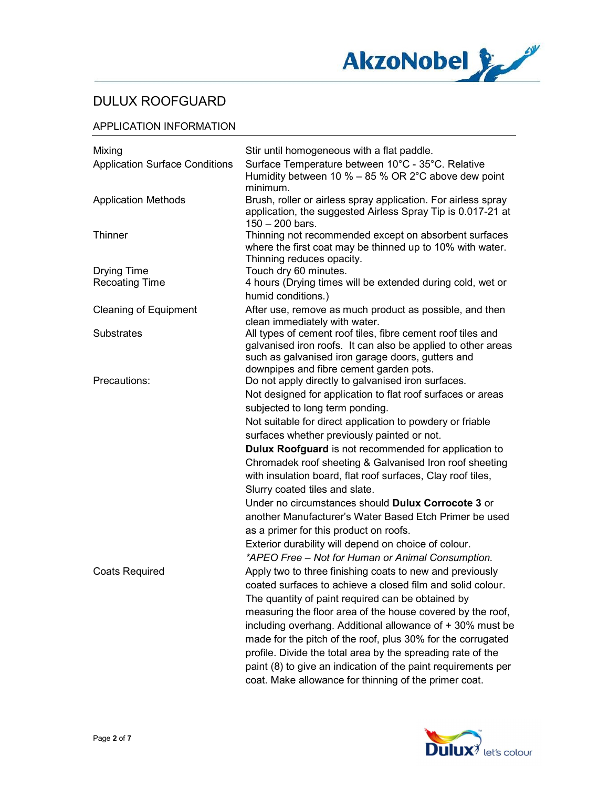

### APPLICATION INFORMATION

| Mixing                                | Stir until homogeneous with a flat paddle.                                                                                                                                       |
|---------------------------------------|----------------------------------------------------------------------------------------------------------------------------------------------------------------------------------|
| <b>Application Surface Conditions</b> | Surface Temperature between 10°C - 35°C. Relative<br>Humidity between 10 % $-$ 85 % OR 2°C above dew point<br>minimum.                                                           |
| <b>Application Methods</b>            | Brush, roller or airless spray application. For airless spray<br>application, the suggested Airless Spray Tip is 0.017-21 at<br>$150 - 200$ bars.                                |
| <b>Thinner</b>                        | Thinning not recommended except on absorbent surfaces<br>where the first coat may be thinned up to 10% with water.                                                               |
| <b>Drying Time</b>                    | Thinning reduces opacity.<br>Touch dry 60 minutes.                                                                                                                               |
| <b>Recoating Time</b>                 | 4 hours (Drying times will be extended during cold, wet or                                                                                                                       |
|                                       | humid conditions.)                                                                                                                                                               |
| <b>Cleaning of Equipment</b>          | After use, remove as much product as possible, and then<br>clean immediately with water.                                                                                         |
| <b>Substrates</b>                     | All types of cement roof tiles, fibre cement roof tiles and<br>galvanised iron roofs. It can also be applied to other areas<br>such as galvanised iron garage doors, gutters and |
| Precautions:                          | downpipes and fibre cement garden pots.<br>Do not apply directly to galvanised iron surfaces.                                                                                    |
|                                       | Not designed for application to flat roof surfaces or areas                                                                                                                      |
|                                       | subjected to long term ponding.                                                                                                                                                  |
|                                       | Not suitable for direct application to powdery or friable                                                                                                                        |
|                                       | surfaces whether previously painted or not.                                                                                                                                      |
|                                       | <b>Dulux Roofguard</b> is not recommended for application to                                                                                                                     |
|                                       | Chromadek roof sheeting & Galvanised Iron roof sheeting                                                                                                                          |
|                                       | with insulation board, flat roof surfaces, Clay roof tiles,<br>Slurry coated tiles and slate.                                                                                    |
|                                       | Under no circumstances should Dulux Corrocote 3 or                                                                                                                               |
|                                       | another Manufacturer's Water Based Etch Primer be used                                                                                                                           |
|                                       |                                                                                                                                                                                  |
|                                       | as a primer for this product on roofs.<br>Exterior durability will depend on choice of colour.                                                                                   |
|                                       | *APEO Free - Not for Human or Animal Consumption.                                                                                                                                |
| <b>Coats Required</b>                 | Apply two to three finishing coats to new and previously                                                                                                                         |
|                                       | coated surfaces to achieve a closed film and solid colour.                                                                                                                       |
|                                       |                                                                                                                                                                                  |
|                                       | The quantity of paint required can be obtained by                                                                                                                                |
|                                       | measuring the floor area of the house covered by the roof,                                                                                                                       |
|                                       | including overhang. Additional allowance of + 30% must be                                                                                                                        |
|                                       | made for the pitch of the roof, plus 30% for the corrugated                                                                                                                      |
|                                       | profile. Divide the total area by the spreading rate of the                                                                                                                      |
|                                       | paint (8) to give an indication of the paint requirements per<br>coat. Make allowance for thinning of the primer coat.                                                           |

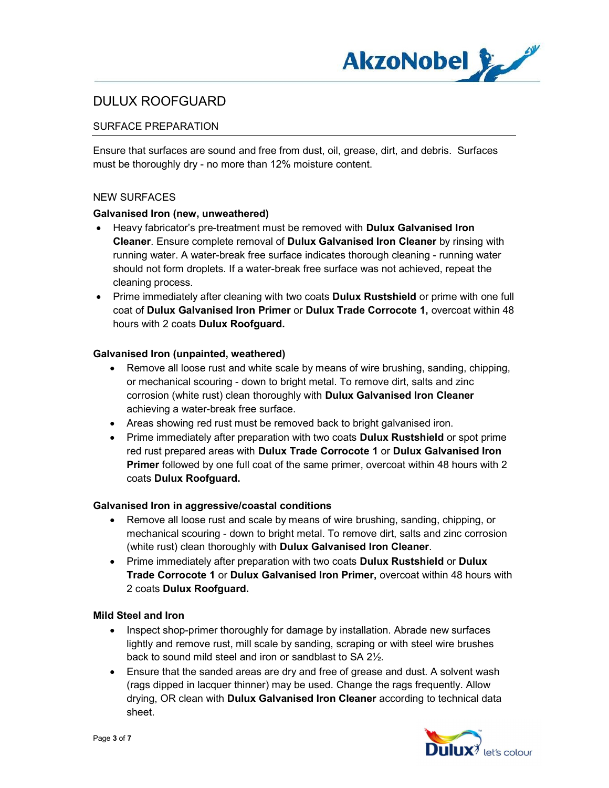

## SURFACE PREPARATION

Ensure that surfaces are sound and free from dust, oil, grease, dirt, and debris. Surfaces must be thoroughly dry - no more than 12% moisture content.

#### NEW SURFACES

#### Galvanised Iron (new, unweathered)

- Heavy fabricator's pre-treatment must be removed with **Dulux Galvanised Iron** Cleaner. Ensure complete removal of Dulux Galvanised Iron Cleaner by rinsing with running water. A water-break free surface indicates thorough cleaning - running water should not form droplets. If a water-break free surface was not achieved, repeat the cleaning process.
- Prime immediately after cleaning with two coats **Dulux Rustshield** or prime with one full coat of Dulux Galvanised Iron Primer or Dulux Trade Corrocote 1, overcoat within 48 hours with 2 coats Dulux Roofguard.

#### Galvanised Iron (unpainted, weathered)

- Remove all loose rust and white scale by means of wire brushing, sanding, chipping, or mechanical scouring - down to bright metal. To remove dirt, salts and zinc corrosion (white rust) clean thoroughly with Dulux Galvanised Iron Cleaner achieving a water-break free surface.
- Areas showing red rust must be removed back to bright galvanised iron.
- Prime immediately after preparation with two coats **Dulux Rustshield** or spot prime red rust prepared areas with Dulux Trade Corrocote 1 or Dulux Galvanised Iron Primer followed by one full coat of the same primer, overcoat within 48 hours with 2 coats Dulux Roofguard.

#### Galvanised Iron in aggressive/coastal conditions

- Remove all loose rust and scale by means of wire brushing, sanding, chipping, or mechanical scouring - down to bright metal. To remove dirt, salts and zinc corrosion (white rust) clean thoroughly with Dulux Galvanised Iron Cleaner.
- Prime immediately after preparation with two coats Dulux Rustshield or Dulux Trade Corrocote 1 or Dulux Galvanised Iron Primer, overcoat within 48 hours with 2 coats Dulux Roofguard.

#### Mild Steel and Iron

- Inspect shop-primer thoroughly for damage by installation. Abrade new surfaces lightly and remove rust, mill scale by sanding, scraping or with steel wire brushes back to sound mild steel and iron or sandblast to SA 2½.
- Ensure that the sanded areas are dry and free of grease and dust. A solvent wash (rags dipped in lacquer thinner) may be used. Change the rags frequently. Allow drying, OR clean with Dulux Galvanised Iron Cleaner according to technical data sheet.

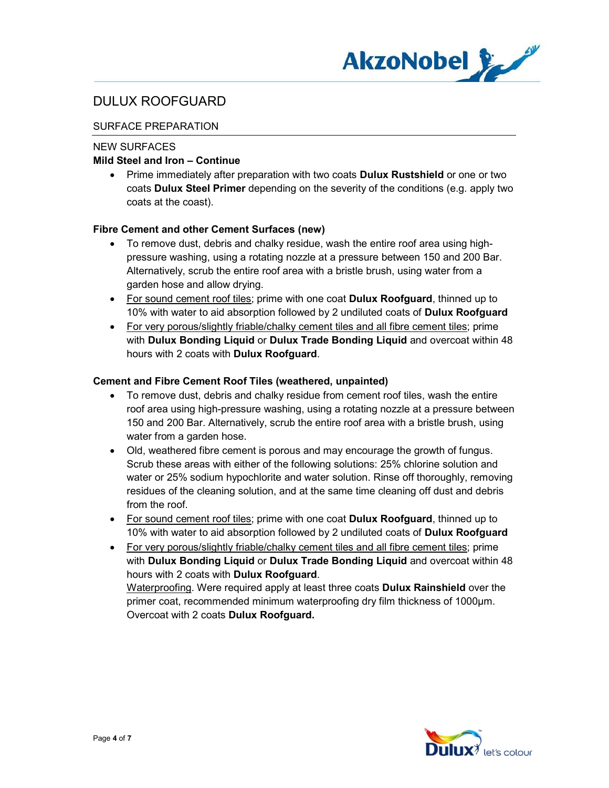

## SURFACE PREPARATION

### NEW SURFACES

### Mild Steel and Iron – Continue

• Prime immediately after preparation with two coats **Dulux Rustshield** or one or two coats Dulux Steel Primer depending on the severity of the conditions (e.g. apply two coats at the coast).

### Fibre Cement and other Cement Surfaces (new)

- To remove dust, debris and chalky residue, wash the entire roof area using highpressure washing, using a rotating nozzle at a pressure between 150 and 200 Bar. Alternatively, scrub the entire roof area with a bristle brush, using water from a garden hose and allow drying.
- For sound cement roof tiles; prime with one coat **Dulux Roofguard**, thinned up to 10% with water to aid absorption followed by 2 undiluted coats of Dulux Roofguard
- For very porous/slightly friable/chalky cement tiles and all fibre cement tiles; prime with Dulux Bonding Liquid or Dulux Trade Bonding Liquid and overcoat within 48 hours with 2 coats with Dulux Roofguard.

### Cement and Fibre Cement Roof Tiles (weathered, unpainted)

- To remove dust, debris and chalky residue from cement roof tiles, wash the entire roof area using high-pressure washing, using a rotating nozzle at a pressure between 150 and 200 Bar. Alternatively, scrub the entire roof area with a bristle brush, using water from a garden hose.
- Old, weathered fibre cement is porous and may encourage the growth of fungus. Scrub these areas with either of the following solutions: 25% chlorine solution and water or 25% sodium hypochlorite and water solution. Rinse off thoroughly, removing residues of the cleaning solution, and at the same time cleaning off dust and debris from the roof.
- For sound cement roof tiles; prime with one coat **Dulux Roofguard**, thinned up to 10% with water to aid absorption followed by 2 undiluted coats of Dulux Roofguard
- For very porous/slightly friable/chalky cement tiles and all fibre cement tiles; prime with Dulux Bonding Liquid or Dulux Trade Bonding Liquid and overcoat within 48 hours with 2 coats with Dulux Roofguard.

Waterproofing. Were required apply at least three coats **Dulux Rainshield** over the primer coat, recommended minimum waterproofing dry film thickness of 1000μm. Overcoat with 2 coats Dulux Roofguard.

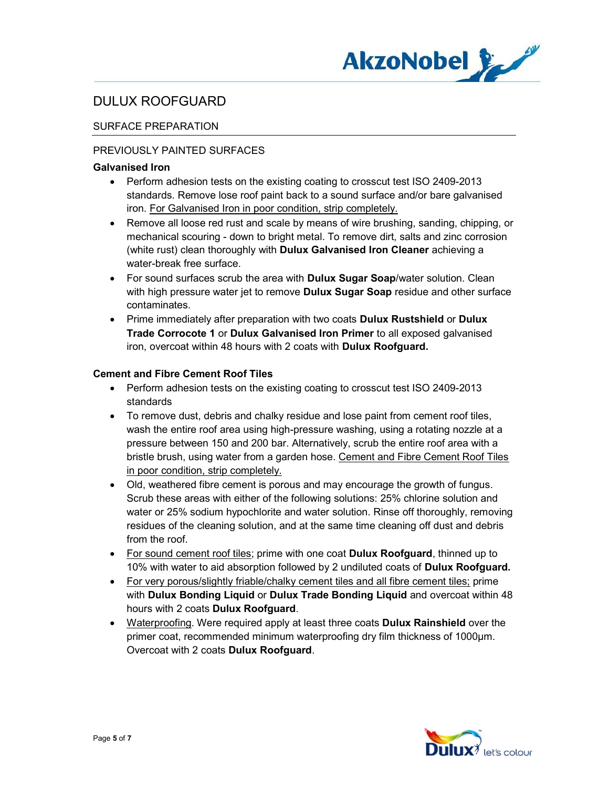

## SURFACE PREPARATION

### PREVIOUSLY PAINTED SURFACES

#### Galvanised Iron

- Perform adhesion tests on the existing coating to crosscut test ISO 2409-2013 standards. Remove lose roof paint back to a sound surface and/or bare galvanised iron. For Galvanised Iron in poor condition, strip completely.
- Remove all loose red rust and scale by means of wire brushing, sanding, chipping, or mechanical scouring - down to bright metal. To remove dirt, salts and zinc corrosion (white rust) clean thoroughly with Dulux Galvanised Iron Cleaner achieving a water-break free surface.
- For sound surfaces scrub the area with **Dulux Sugar Soap**/water solution. Clean with high pressure water jet to remove **Dulux Sugar Soap** residue and other surface contaminates.
- Prime immediately after preparation with two coats Dulux Rustshield or Dulux Trade Corrocote 1 or Dulux Galvanised Iron Primer to all exposed galvanised iron, overcoat within 48 hours with 2 coats with Dulux Roofguard.

#### Cement and Fibre Cement Roof Tiles

- Perform adhesion tests on the existing coating to crosscut test ISO 2409-2013 standards
- To remove dust, debris and chalky residue and lose paint from cement roof tiles, wash the entire roof area using high-pressure washing, using a rotating nozzle at a pressure between 150 and 200 bar. Alternatively, scrub the entire roof area with a bristle brush, using water from a garden hose. Cement and Fibre Cement Roof Tiles in poor condition, strip completely.
- Old, weathered fibre cement is porous and may encourage the growth of fungus. Scrub these areas with either of the following solutions: 25% chlorine solution and water or 25% sodium hypochlorite and water solution. Rinse off thoroughly, removing residues of the cleaning solution, and at the same time cleaning off dust and debris from the roof.
- For sound cement roof tiles; prime with one coat **Dulux Roofguard**, thinned up to 10% with water to aid absorption followed by 2 undiluted coats of **Dulux Roofguard.**
- For very porous/slightly friable/chalky cement tiles and all fibre cement tiles; prime with Dulux Bonding Liquid or Dulux Trade Bonding Liquid and overcoat within 48 hours with 2 coats Dulux Roofguard.
- Waterproofing. Were required apply at least three coats Dulux Rainshield over the primer coat, recommended minimum waterproofing dry film thickness of 1000μm. Overcoat with 2 coats Dulux Roofguard.

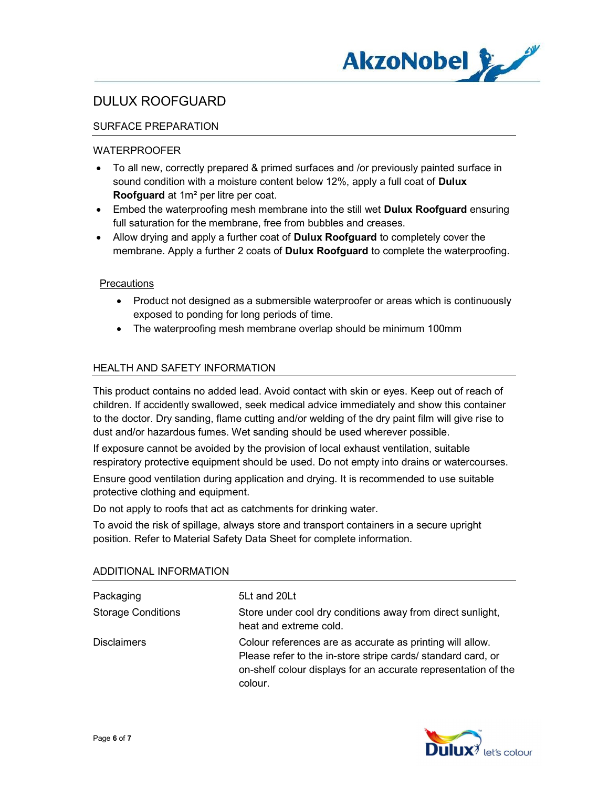

## SURFACE PREPARATION

### WATERPROOFER

- To all new, correctly prepared & primed surfaces and /or previously painted surface in sound condition with a moisture content below 12%, apply a full coat of **Dulux** Roofguard at 1m² per litre per coat.
- Embed the waterproofing mesh membrane into the still wet **Dulux Roofguard** ensuring full saturation for the membrane, free from bubbles and creases.
- Allow drying and apply a further coat of **Dulux Roofguard** to completely cover the membrane. Apply a further 2 coats of **Dulux Roofguard** to complete the waterproofing.

#### **Precautions**

- Product not designed as a submersible waterproofer or areas which is continuously exposed to ponding for long periods of time.
- The waterproofing mesh membrane overlap should be minimum 100mm

### HEALTH AND SAFETY INFORMATION

This product contains no added lead. Avoid contact with skin or eyes. Keep out of reach of children. If accidently swallowed, seek medical advice immediately and show this container to the doctor. Dry sanding, flame cutting and/or welding of the dry paint film will give rise to dust and/or hazardous fumes. Wet sanding should be used wherever possible.

If exposure cannot be avoided by the provision of local exhaust ventilation, suitable respiratory protective equipment should be used. Do not empty into drains or watercourses. Ensure good ventilation during application and drying. It is recommended to use suitable protective clothing and equipment.

Do not apply to roofs that act as catchments for drinking water.

To avoid the risk of spillage, always store and transport containers in a secure upright position. Refer to Material Safety Data Sheet for complete information.

| Packaging                 | 5Lt and 20Lt                                                                                                                                                                                           |
|---------------------------|--------------------------------------------------------------------------------------------------------------------------------------------------------------------------------------------------------|
| <b>Storage Conditions</b> | Store under cool dry conditions away from direct sunlight,<br>heat and extreme cold.                                                                                                                   |
| <b>Disclaimers</b>        | Colour references are as accurate as printing will allow.<br>Please refer to the in-store stripe cards/ standard card, or<br>on-shelf colour displays for an accurate representation of the<br>colour. |

#### ADDITIONAL INFORMATION